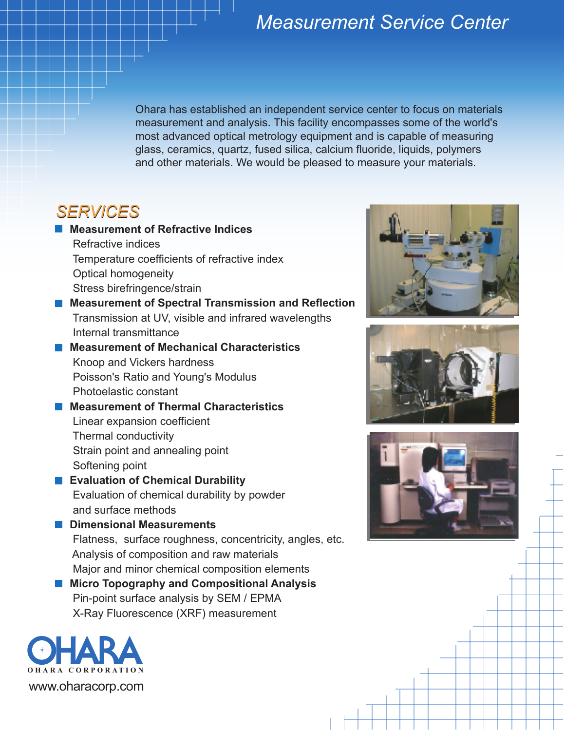## *Measurement Service Center*

Ohara has established an independent service center to focus on materials measurement and analysis. This facility encompasses some of the world's most advanced optical metrology equipment and is capable of measuring glass, ceramics, quartz, fused silica, calcium fluoride, liquids, polymers and other materials. We would be pleased to measure your materials.

## *SERVICES*

**Measurement of Refractive Indices** Refractive indices Temperature coefficients of refractive index Optical homogeneity Stress birefringence/strain **Measurement of Spectral Transmission and Reflection** Transmission at UV, visible and infrared wavelengths Internal transmittance **Measurement of Mechanical Characteristics** Knoop and Vickers hardness Poisson's Ratio and Young's Modulus Photoelastic constant **Measurement of Thermal Characteristics** Linear expansion coefficient Thermal conductivity Strain point and annealing point Softening point **Evaluation of Chemical Durability** Evaluation of chemical durability by powder and surface methods **Dimensional Measurements** Flatness, surface roughness, concentricity, angles, etc. Analysis of composition and raw materials Major and minor chemical composition elements **Micro Topography and Compositional Analysis**

Pin-point surface analysis by SEM / EPMA X-Ray Fluorescence (XRF) measurement